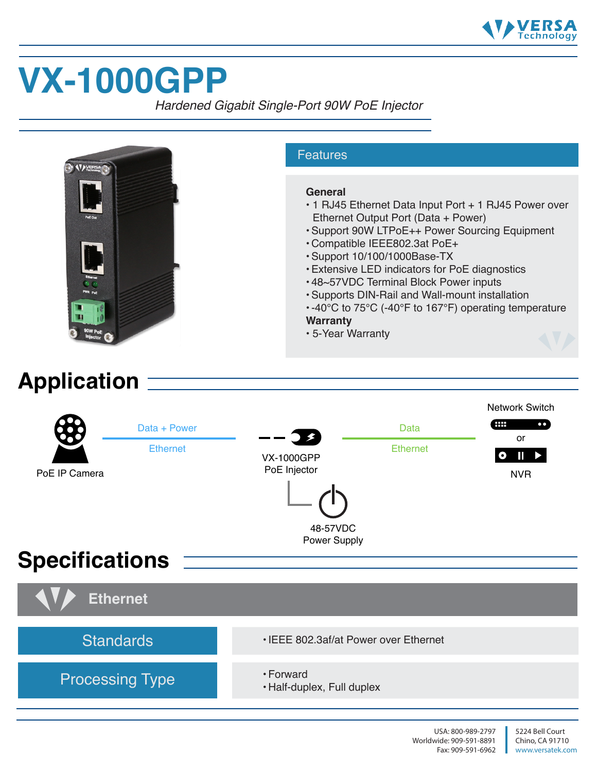

# **VX-1000GPP**

*Hardened Gigabit Single-Port 90W PoE Injector*

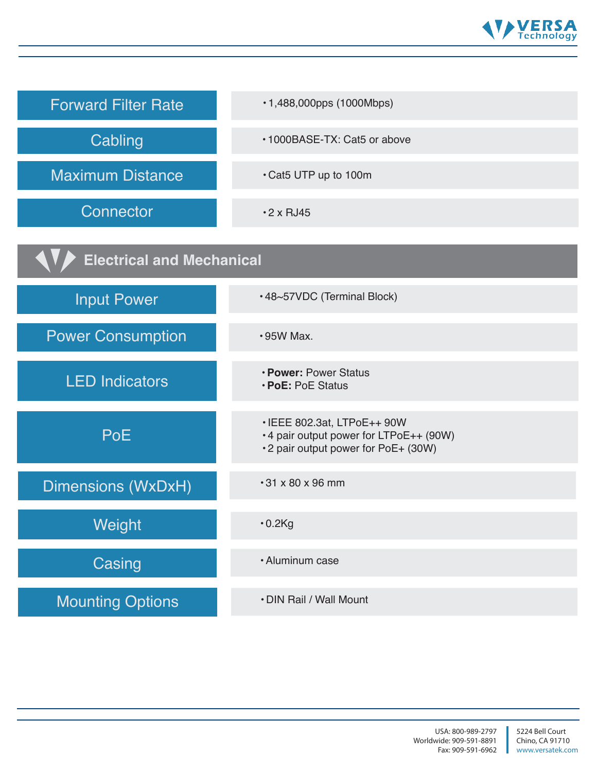

| <b>Forward Filter Rate</b>       | •1,488,000pps (1000Mbps)                                                                                     |
|----------------------------------|--------------------------------------------------------------------------------------------------------------|
| Cabling                          | •1000BASE-TX: Cat5 or above                                                                                  |
| <b>Maximum Distance</b>          | • Cat5 UTP up to 100m                                                                                        |
| Connector                        | $\cdot$ 2 x RJ45                                                                                             |
| <b>Electrical and Mechanical</b> |                                                                                                              |
| <b>Input Power</b>               | •48~57VDC (Terminal Block)                                                                                   |
| <b>Power Consumption</b>         | $\cdot$ 95W Max.                                                                                             |
| <b>LED Indicators</b>            | • Power: Power Status<br>• PoE: PoE Status                                                                   |
| <b>PoE</b>                       | • IEEE 802.3at, LTPoE++ 90W<br>•4 pair output power for LTPoE++ (90W)<br>•2 pair output power for PoE+ (30W) |
| Dimensions (WxDxH)               | $\cdot$ 31 x 80 x 96 mm                                                                                      |
| Weight                           | $\cdot$ 0.2Kg                                                                                                |
| Casing                           | · Aluminum case                                                                                              |
| <b>Mounting Options</b>          | • DIN Rail / Wall Mount                                                                                      |

 $\mathbb{R}^2$